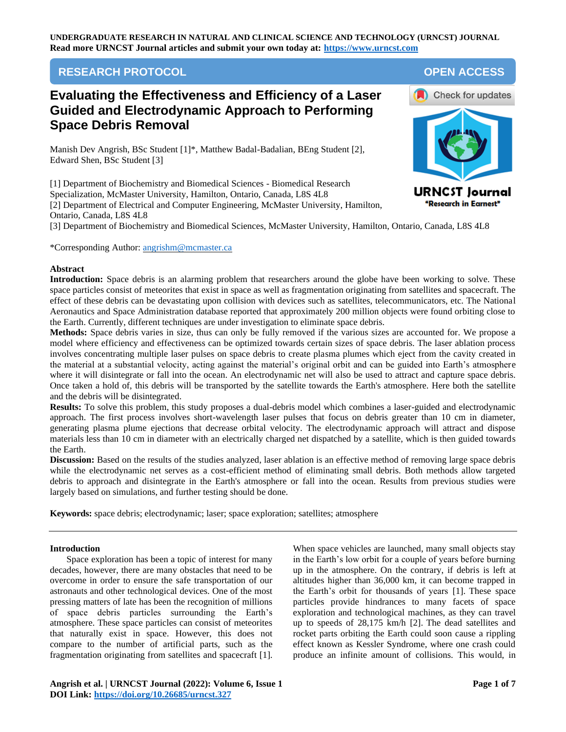## **RESEARCH PROTOCOL OPEN ACCESS**

# **Evaluating the Effectiveness and Efficiency of a Laser Guided and Electrodynamic Approach to Performing Space Debris Removal**

Manish Dev Angrish, BSc Student [1]\*, Matthew Badal-Badalian, BEng Student [2], Edward Shen, BSc Student [3]

[1] Department of Biochemistry and Biomedical Sciences - Biomedical Research Specialization, McMaster University, Hamilton, Ontario, Canada, L8S 4L8 [2] Department of Electrical and Computer Engineering, McMaster University, Hamilton, Ontario, Canada, L8S 4L8



[3] Department of Biochemistry and Biomedical Sciences, McMaster University, Hamilton, Ontario, Canada, L8S 4L8

\*Corresponding Author: [angrishm@mcmaster.ca](mailto:angrishm@mcmaster.ca)

## **Abstract**

**Introduction:** Space debris is an alarming problem that researchers around the globe have been working to solve. These space particles consist of meteorites that exist in space as well as fragmentation originating from satellites and spacecraft. The effect of these debris can be devastating upon collision with devices such as satellites, telecommunicators, etc. The National Aeronautics and Space Administration database reported that approximately 200 million objects were found orbiting close to the Earth. Currently, different techniques are under investigation to eliminate space debris.

**Methods:** Space debris varies in size, thus can only be fully removed if the various sizes are accounted for. We propose a model where efficiency and effectiveness can be optimized towards certain sizes of space debris. The laser ablation process involves concentrating multiple laser pulses on space debris to create plasma plumes which eject from the cavity created in the material at a substantial velocity, acting against the material's original orbit and can be guided into Earth's atmosphere where it will disintegrate or fall into the ocean. An electrodynamic net will also be used to attract and capture space debris. Once taken a hold of, this debris will be transported by the satellite towards the Earth's atmosphere. Here both the satellite and the debris will be disintegrated.

**Results:** To solve this problem, this study proposes a dual-debris model which combines a laser-guided and electrodynamic approach. The first process involves short-wavelength laser pulses that focus on debris greater than 10 cm in diameter, generating plasma plume ejections that decrease orbital velocity. The electrodynamic approach will attract and dispose materials less than 10 cm in diameter with an electrically charged net dispatched by a satellite, which is then guided towards the Earth.

**Discussion:** Based on the results of the studies analyzed, laser ablation is an effective method of removing large space debris while the electrodynamic net serves as a cost-efficient method of eliminating small debris. Both methods allow targeted debris to approach and disintegrate in the Earth's atmosphere or fall into the ocean. Results from previous studies were largely based on simulations, and further testing should be done.

**Keywords:** space debris; electrodynamic; laser; space exploration; satellites; atmosphere

## **Introduction**

Space exploration has been a topic of interest for many decades, however, there are many obstacles that need to be overcome in order to ensure the safe transportation of our astronauts and other technological devices. One of the most pressing matters of late has been the recognition of millions of space debris particles surrounding the Earth's atmosphere. These space particles can consist of meteorites that naturally exist in space. However, this does not compare to the number of artificial parts, such as the fragmentation originating from satellites and spacecraft [\[1\].](#page-5-0)

When space vehicles are launched, many small objects stay in the Earth's low orbit for a couple of years before burning up in the atmosphere. On the contrary, if debris is left at altitudes higher than 36,000 km, it can become trapped in the Earth's orbit for thousands of years [\[1\].](#page-5-0) These space particles provide hindrances to many facets of space exploration and technological machines, as they can travel up to speeds of 28,175 km/h [\[2\].](#page-5-1) The dead satellites and rocket parts orbiting the Earth could soon cause a rippling effect known as Kessler Syndrome, where one crash could produce an infinite amount of collisions. This would, in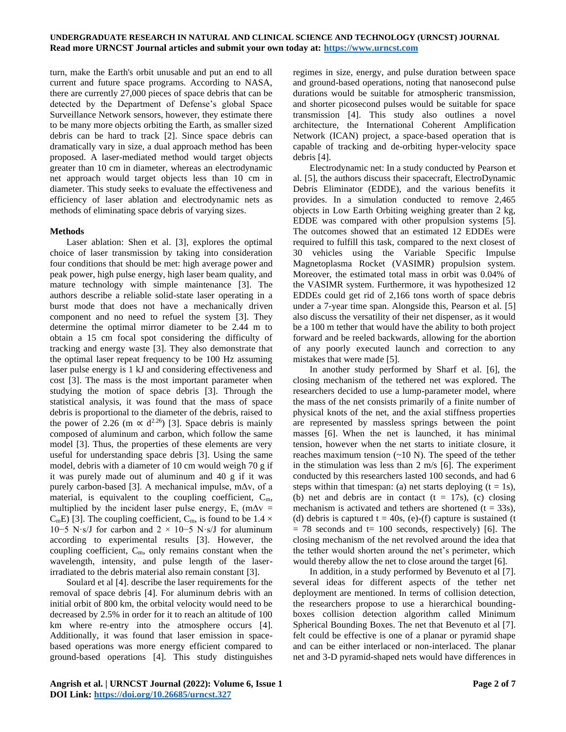turn, make the Earth's orbit unusable and put an end to all current and future space programs. According to NASA, there are currently 27,000 pieces of space debris that can be detected by the Department of Defense's global Space Surveillance Network sensors, however, they estimate there to be many more objects orbiting the Earth, as smaller sized debris can be hard to track [\[2\].](#page-5-1) Since space debris can dramatically vary in size, a dual approach method has been proposed. A laser-mediated method would target objects greater than 10 cm in diameter, whereas an electrodynamic net approach would target objects less than 10 cm in diameter. This study seeks to evaluate the effectiveness and efficiency of laser ablation and electrodynamic nets as methods of eliminating space debris of varying sizes.

### **Methods**

Laser ablation: Shen et al. [\[3\],](#page-5-2) explores the optimal choice of laser transmission by taking into consideration four conditions that should be met: high average power and peak power, high pulse energy, high laser beam quality, and mature technology with simple maintenance [\[3\].](#page-5-2) The authors describe a reliable solid-state laser operating in a burst mode that does not have a mechanically driven component and no need to refuel the system [\[3\].](#page-5-2) They determine the optimal mirror diameter to be 2.44 m to obtain a 15 cm focal spot considering the difficulty of tracking and energy waste [\[3\].](#page-5-2) They also demonstrate that the optimal laser repeat frequency to be 100 Hz assuming laser pulse energy is 1 kJ and considering effectiveness and cost [\[3\].](#page-5-2) The mass is the most important parameter when studying the motion of space debris [\[3\].](#page-5-2) Through the statistical analysis, it was found that the mass of space debris is proportional to the diameter of the debris, raised to the power of 2.26 (m  $\propto$  d<sup>2.26</sup>) [\[3\].](#page-5-2) Space debris is mainly composed of aluminum and carbon, which follow the same model [\[3\].](#page-5-2) Thus, the properties of these elements are very useful for understanding space debris [\[3\].](#page-5-2) Using the same model, debris with a diameter of 10 cm would weigh 70 g if it was purely made out of aluminum and 40 g if it was purely carbon-based [\[3\].](#page-5-2) A mechanical impulse, mΔv, of a material, is equivalent to the coupling coefficient,  $C_m$ , multiplied by the incident laser pulse energy, E,  $(m\Delta v =$  $C_mE$ ) [\[3\].](#page-5-2) The coupling coefficient,  $C_m$ , is found to be 1.4  $\times$ 10−5 N⋅s/J for carbon and 2  $\times$  10−5 N⋅s/J for aluminum according to experimental results [\[3\].](#page-5-2) However, the coupling coefficient,  $C_m$ , only remains constant when the wavelength, intensity, and pulse length of the laserirradiated to the debris material also remain constan[t \[3\].](#page-5-2)

Soulard et al [\[4\].](#page-5-3) describe the laser requirements for the removal of space debris [\[4\].](#page-5-3) For aluminum debris with an initial orbit of 800 km, the orbital velocity would need to be decreased by 2.5% in order for it to reach an altitude of 100 km where re-entry into the atmosphere occurs [\[4\].](#page-5-3) Additionally, it was found that laser emission in spacebased operations was more energy efficient compared to ground-based operations [\[4\].](#page-5-3) This study distinguishes

regimes in size, energy, and pulse duration between space and ground-based operations, noting that nanosecond pulse durations would be suitable for atmospheric transmission, and shorter picosecond pulses would be suitable for space transmission [\[4\].](#page-5-3) This study also outlines a novel architecture, the International Coherent Amplification Network (ICAN) project, a space-based operation that is capable of tracking and de-orbiting hyper-velocity space debris [\[4\].](#page-5-3)

Electrodynamic net: In a study conducted by Pearson et al. [\[5\],](#page-5-4) the authors discuss their spacecraft, ElectroDynamic Debris Eliminator (EDDE), and the various benefits it provides. In a simulation conducted to remove 2,465 objects in Low Earth Orbiting weighing greater than 2 kg, EDDE was compared with other propulsion systems [\[5\].](#page-5-4) The outcomes showed that an estimated 12 EDDEs were required to fulfill this task, compared to the next closest of 30 vehicles using the Variable Specific Impulse Magnetoplasma Rocket (VASIMR) propulsion system. Moreover, the estimated total mass in orbit was 0.04% of the VASIMR system. Furthermore, it was hypothesized 12 EDDEs could get rid of 2,166 tons worth of space debris under a 7-year time span. Alongside this, Pearson et al. [\[5\]](#page-5-4) also discuss the versatility of their net dispenser, as it would be a 100 m tether that would have the ability to both project forward and be reeled backwards, allowing for the abortion of any poorly executed launch and correction to any mistakes that were made [\[5\].](#page-5-4)

In another study performed by Sharf et al. [\[6\],](#page-5-5) the closing mechanism of the tethered net was explored. The researchers decided to use a lump-parameter model, where the mass of the net consists primarily of a finite number of physical knots of the net, and the axial stiffness properties are represented by massless springs between the point masses [\[6\].](#page-5-5) When the net is launched, it has minimal tension, however when the net starts to initiate closure, it reaches maximum tension  $(\sim 10 \text{ N})$ . The speed of the tether in the stimulation was less than 2 m/s [\[6\].](#page-5-5) The experiment conducted by this researchers lasted 100 seconds, and had 6 steps within that timespan: (a) net starts deploying  $(t = 1s)$ , (b) net and debris are in contact  $(t = 17s)$ , (c) closing mechanism is activated and tethers are shortened  $(t = 33s)$ , (d) debris is captured  $t = 40s$ , (e)-(f) capture is sustained (t)  $= 78$  seconds and  $t = 100$  seconds, respectively) [\[6\].](#page-5-5) The closing mechanism of the net revolved around the idea that the tether would shorten around the net's perimeter, which would thereby allow the net to close around the target [\[6\].](#page-5-5)

In addition, in a study performed by Bevenuto et al [\[7\].](#page-5-6) several ideas for different aspects of the tether net deployment are mentioned. In terms of collision detection, the researchers propose to use a hierarchical boundingboxes collision detection algorithm called Minimum Spherical Bounding Boxes. The net that Bevenuto et al [\[7\].](#page-5-6) felt could be effective is one of a planar or pyramid shape and can be either interlaced or non-interlaced. The planar net and 3-D pyramid-shaped nets would have differences in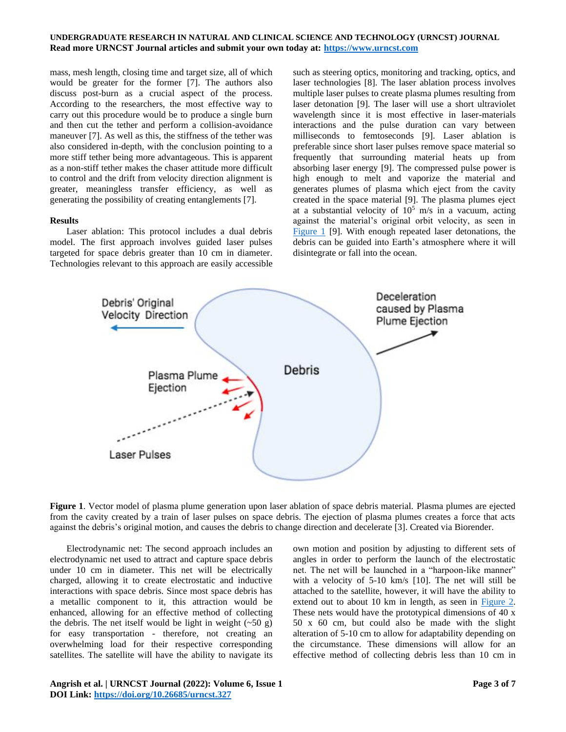mass, mesh length, closing time and target size, all of which would be greater for the former [\[7\].](#page-5-6) The authors also discuss post-burn as a crucial aspect of the process. According to the researchers, the most effective way to carry out this procedure would be to produce a single burn and then cut the tether and perform a collision-avoidance maneuver [\[7\].](#page-5-6) As well as this, the stiffness of the tether was also considered in-depth, with the conclusion pointing to a more stiff tether being more advantageous. This is apparent as a non-stiff tether makes the chaser attitude more difficult to control and the drift from velocity direction alignment is greater, meaningless transfer efficiency, as well as generating the possibility of creating entanglements [\[7\].](#page-5-6)

#### **Results**

Laser ablation: This protocol includes a dual debris model. The first approach involves guided laser pulses targeted for space debris greater than 10 cm in diameter. Technologies relevant to this approach are easily accessible

such as steering optics, monitoring and tracking, optics, and laser technologies [\[8\].](#page-5-7) The laser ablation process involves multiple laser pulses to create plasma plumes resulting from laser detonation [\[9\].](#page-5-8) The laser will use a short ultraviolet wavelength since it is most effective in laser-materials interactions and the pulse duration can vary between milliseconds to femtoseconds [\[9\].](#page-5-8) Laser ablation is preferable since short laser pulses remove space material so frequently that surrounding material heats up from absorbing laser energy [\[9\].](#page-5-8) The compressed pulse power is high enough to melt and vaporize the material and generates plumes of plasma which eject from the cavity created in the space material [\[9\].](#page-5-8) The plasma plumes eject at a substantial velocity of  $10^5$  m/s in a vacuum, acting against the material's original orbit velocity, as seen in [Figure 1](#page-2-0) [\[9\].](#page-5-8) With enough repeated laser detonations, the debris can be guided into Earth's atmosphere where it will disintegrate or fall into the ocean.



<span id="page-2-0"></span>**Figure 1**. Vector model of plasma plume generation upon laser ablation of space debris material. Plasma plumes are ejected from the cavity created by a train of laser pulses on space debris. The ejection of plasma plumes creates a force that acts against the debris's original motion, and causes the debris to change direction and decelerate [\[3\].](#page-5-2) Created via Biorender.

Electrodynamic net: The second approach includes an electrodynamic net used to attract and capture space debris under 10 cm in diameter. This net will be electrically charged, allowing it to create electrostatic and inductive interactions with space debris. Since most space debris has a metallic component to it, this attraction would be enhanced, allowing for an effective method of collecting the debris. The net itself would be light in weight  $(-50 g)$ for easy transportation - therefore, not creating an overwhelming load for their respective corresponding satellites. The satellite will have the ability to navigate its

own motion and position by adjusting to different sets of angles in order to perform the launch of the electrostatic net. The net will be launched in a "harpoon-like manner" with a velocity of 5-10 km/s [\[10\].](#page-5-9) The net will still be attached to the satellite, however, it will have the ability to extend out to about 10 km in length, as seen in [Figure 2.](#page-3-0) These nets would have the prototypical dimensions of 40 x 50 x 60 cm, but could also be made with the slight alteration of 5-10 cm to allow for adaptability depending on the circumstance. These dimensions will allow for an effective method of collecting debris less than 10 cm in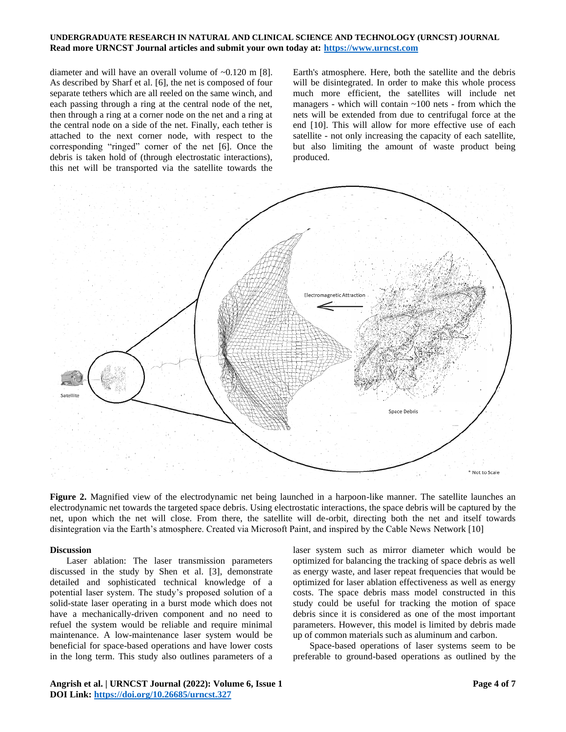diameter and will have an overall volume of ~0.120 m [\[8\].](#page-5-7) As described by Sharf et al. [\[6\],](#page-5-5) the net is composed of four separate tethers which are all reeled on the same winch, and each passing through a ring at the central node of the net, then through a ring at a corner node on the net and a ring at the central node on a side of the net. Finally, each tether is attached to the next corner node, with respect to the corresponding "ringed" corner of the net [\[6\].](#page-5-5) Once the debris is taken hold of (through electrostatic interactions), this net will be transported via the satellite towards the Earth's atmosphere. Here, both the satellite and the debris will be disintegrated. In order to make this whole process much more efficient, the satellites will include net managers - which will contain  $\sim$ 100 nets - from which the nets will be extended from due to centrifugal force at the end [\[10\].](#page-5-9) This will allow for more effective use of each satellite - not only increasing the capacity of each satellite, but also limiting the amount of waste product being produced.



<span id="page-3-0"></span>**Figure 2.** Magnified view of the electrodynamic net being launched in a harpoon-like manner. The satellite launches an electrodynamic net towards the targeted space debris. Using electrostatic interactions, the space debris will be captured by the net, upon which the net will close. From there, the satellite will de-orbit, directing both the net and itself towards disintegration via the Earth's atmosphere. Created via Microsoft Paint, and inspired by the Cable News Networ[k \[10\]](#page-5-9)

#### **Discussion**

Laser ablation: The laser transmission parameters discussed in the study by Shen et al. [\[3\],](#page-5-2) demonstrate detailed and sophisticated technical knowledge of a potential laser system. The study's proposed solution of a solid-state laser operating in a burst mode which does not have a mechanically-driven component and no need to refuel the system would be reliable and require minimal maintenance. A low-maintenance laser system would be beneficial for space-based operations and have lower costs in the long term. This study also outlines parameters of a

optimized for balancing the tracking of space debris as well as energy waste, and laser repeat frequencies that would be optimized for laser ablation effectiveness as well as energy costs. The space debris mass model constructed in this study could be useful for tracking the motion of space debris since it is considered as one of the most important parameters. However, this model is limited by debris made up of common materials such as aluminum and carbon.

laser system such as mirror diameter which would be

Space-based operations of laser systems seem to be preferable to ground-based operations as outlined by the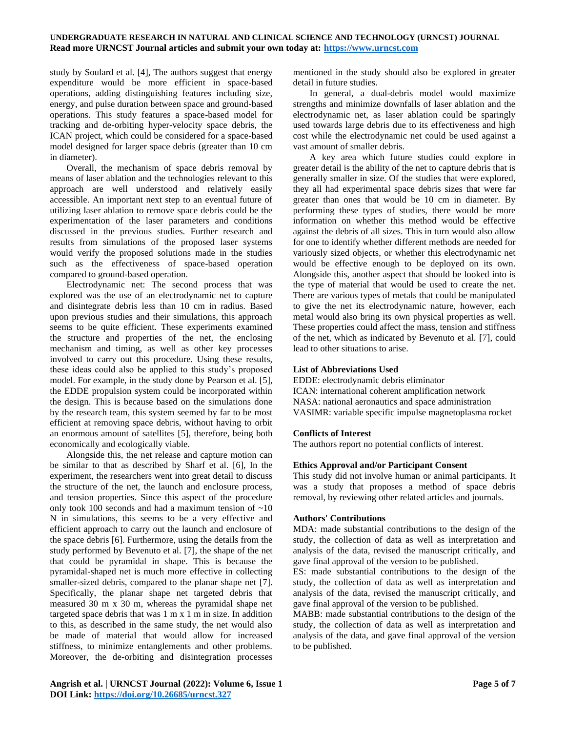study by Soulard et al. [\[4\],](#page-5-3) The authors suggest that energy expenditure would be more efficient in space-based operations, adding distinguishing features including size, energy, and pulse duration between space and ground-based operations. This study features a space-based model for tracking and de-orbiting hyper-velocity space debris, the ICAN project, which could be considered for a space-based model designed for larger space debris (greater than 10 cm in diameter).

Overall, the mechanism of space debris removal by means of laser ablation and the technologies relevant to this approach are well understood and relatively easily accessible. An important next step to an eventual future of utilizing laser ablation to remove space debris could be the experimentation of the laser parameters and conditions discussed in the previous studies. Further research and results from simulations of the proposed laser systems would verify the proposed solutions made in the studies such as the effectiveness of space-based operation compared to ground-based operation.

Electrodynamic net: The second process that was explored was the use of an electrodynamic net to capture and disintegrate debris less than 10 cm in radius. Based upon previous studies and their simulations, this approach seems to be quite efficient. These experiments examined the structure and properties of the net, the enclosing mechanism and timing, as well as other key processes involved to carry out this procedure. Using these results, these ideas could also be applied to this study's proposed model. For example, in the study done by Pearson et al. [\[5\],](#page-5-4) the EDDE propulsion system could be incorporated within the design. This is because based on the simulations done by the research team, this system seemed by far to be most efficient at removing space debris, without having to orbit an enormous amount of satellites [\[5\],](#page-5-4) therefore, being both economically and ecologically viable.

Alongside this, the net release and capture motion can be similar to that as described by Sharf et al. [\[6\],](#page-5-5) In the experiment, the researchers went into great detail to discuss the structure of the net, the launch and enclosure process, and tension properties. Since this aspect of the procedure only took 100 seconds and had a maximum tension of ~10 N in simulations, this seems to be a very effective and efficient approach to carry out the launch and enclosure of the space debris [\[6\].](#page-5-5) Furthermore, using the details from the study performed by Bevenuto et al. [\[7\],](#page-5-6) the shape of the net that could be pyramidal in shape. This is because the pyramidal-shaped net is much more effective in collecting smaller-sized debris, compared to the planar shape net [\[7\].](#page-5-6) Specifically, the planar shape net targeted debris that measured 30 m x 30 m, whereas the pyramidal shape net targeted space debris that was 1 m x 1 m in size. In addition to this, as described in the same study, the net would also be made of material that would allow for increased stiffness, to minimize entanglements and other problems. Moreover, the de-orbiting and disintegration processes

mentioned in the study should also be explored in greater detail in future studies.

In general, a dual-debris model would maximize strengths and minimize downfalls of laser ablation and the electrodynamic net, as laser ablation could be sparingly used towards large debris due to its effectiveness and high cost while the electrodynamic net could be used against a vast amount of smaller debris.

A key area which future studies could explore in greater detail is the ability of the net to capture debris that is generally smaller in size. Of the studies that were explored, they all had experimental space debris sizes that were far greater than ones that would be 10 cm in diameter. By performing these types of studies, there would be more information on whether this method would be effective against the debris of all sizes. This in turn would also allow for one to identify whether different methods are needed for variously sized objects, or whether this electrodynamic net would be effective enough to be deployed on its own. Alongside this, another aspect that should be looked into is the type of material that would be used to create the net. There are various types of metals that could be manipulated to give the net its electrodynamic nature, however, each metal would also bring its own physical properties as well. These properties could affect the mass, tension and stiffness of the net, which as indicated by Bevenuto et al. [\[7\],](#page-5-6) could lead to other situations to arise.

### **List of Abbreviations Used**

EDDE: electrodynamic debris eliminator ICAN: international coherent amplification network NASA: national aeronautics and space administration VASIMR: variable specific impulse magnetoplasma rocket

## **Conflicts of Interest**

The authors report no potential conflicts of interest.

### **Ethics Approval and/or Participant Consent**

This study did not involve human or animal participants. It was a study that proposes a method of space debris removal, by reviewing other related articles and journals.

## **Authors' Contributions**

MDA: made substantial contributions to the design of the study, the collection of data as well as interpretation and analysis of the data, revised the manuscript critically, and gave final approval of the version to be published.

ES: made substantial contributions to the design of the study, the collection of data as well as interpretation and analysis of the data, revised the manuscript critically, and gave final approval of the version to be published.

MABB: made substantial contributions to the design of the study, the collection of data as well as interpretation and analysis of the data, and gave final approval of the version to be published.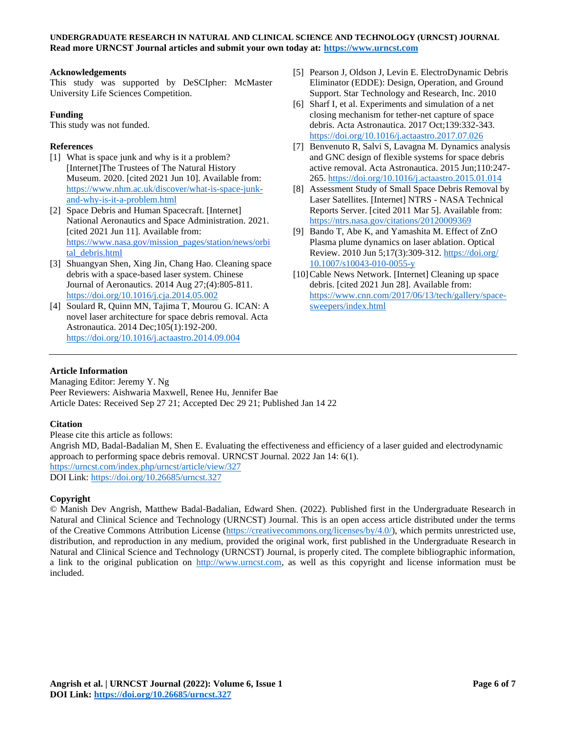## **Acknowledgements**

This study was supported by DeSCIpher: McMaster University Life Sciences Competition.

## **Funding**

This study was not funded.

## **References**

- <span id="page-5-0"></span>[1] What is space junk and why is it a problem? [Internet]The Trustees of The Natural History Museum*.* 2020. [cited 2021 Jun 10]. Available from: [https://www.nhm.ac.uk/discover/what-is-space-junk](https://www.nhm.ac.uk/discover/what-is-space-junk-and-why-is-it-a-problem.html)[and-why-is-it-a-problem.html](https://www.nhm.ac.uk/discover/what-is-space-junk-and-why-is-it-a-problem.html)
- <span id="page-5-1"></span>[2] Space Debris and Human Spacecraft. [Internet] National Aeronautics and Space Administration*.* 2021. [cited 2021 Jun 11]. Available from: [https://www.nasa.gov/mission\\_pages/station/news/orbi](https://www.nasa.gov/mission_pages/station/news/orbital_debris.html) tal debris.html
- <span id="page-5-2"></span>[3] Shuangyan Shen, Xing Jin, Chang Hao. Cleaning space debris with a space-based laser system. Chinese Journal of Aeronautics. 2014 Aug 27;(4):805-811. <https://doi.org/10.1016/j.cja.2014.05.002>
- <span id="page-5-3"></span>[4] Soulard R, Quinn MN, Tajima T, Mourou G. ICAN: A novel laser architecture for space debris removal. Acta Astronautica. 2014 Dec;105(1):192-200. <https://doi.org/10.1016/j.actaastro.2014.09.004>
- [5] Pearson J, Oldson J, Levin E. ElectroDynamic Debris Eliminator (EDDE): Design, Operation, and Ground Support. Star Technology and Research, Inc. 2010
- <span id="page-5-5"></span>[6] Sharf I, et al. Experiments and simulation of a net closing mechanism for tether-net capture of space debris. Acta Astronautica. 2017 Oct;139:332-343. <https://doi.org/10.1016/j.actaastro.2017.07.026>
- <span id="page-5-6"></span>[7] Benvenuto R, Salvi S, Lavagna M. Dynamics analysis and GNC design of flexible systems for space debris active removal. Acta Astronautica. 2015 Jun;110:247- 265.<https://doi.org/10.1016/j.actaastro.2015.01.014>
- <span id="page-5-7"></span>[8] Assessment Study of Small Space Debris Removal by Laser Satellites. [Internet] NTRS - NASA Technical Reports Server. [cited 2011 Mar 5]. Available from: <https://ntrs.nasa.gov/citations/20120009369>
- <span id="page-5-8"></span>[9] Bando T, Abe K, and Yamashita M. Effect of ZnO Plasma plume dynamics on laser ablation. Optical Review. 2010 Jun 5;17(3):309-312. [https://doi.org/](https://doi.org/10.1007/s10043-010-0055-y) [10.1007/s10043-010-0055-y](https://doi.org/10.1007/s10043-010-0055-y)
- <span id="page-5-9"></span>[10] Cable News Network. [Internet] Cleaning up space debris. [cited 2021 Jun 28]. Available from: [https://www.cnn.com/2017/06/13/tech/gallery/space](https://www.cnn.com/2017/06/13/tech/gallery/space-sweepers/index.html)[sweepers/index.html](https://www.cnn.com/2017/06/13/tech/gallery/space-sweepers/index.html)

## <span id="page-5-4"></span>**Article Information**

Managing Editor: Jeremy Y. Ng Peer Reviewers: Aishwaria Maxwell, Renee Hu, Jennifer Bae Article Dates: Received Sep 27 21; Accepted Dec 29 21; Published Jan 14 22

## **Citation**

Please cite this article as follows: Angrish MD, Badal-Badalian M, Shen E. Evaluating the effectiveness and efficiency of a laser guided and electrodynamic approach to performing space debris removal. URNCST Journal. 2022 Jan 14: 6(1). <https://urncst.com/index.php/urncst/article/view/327> DOI Link:<https://doi.org/10.26685/urncst.327>

## **Copyright**

© Manish Dev Angrish, Matthew Badal-Badalian, Edward Shen. (2022). Published first in the Undergraduate Research in Natural and Clinical Science and Technology (URNCST) Journal. This is an open access article distributed under the terms of the Creative Commons Attribution License [\(https://creativecommons.org/licenses/by/4.0/\)](https://creativecommons.org/licenses/by/4.0/), which permits unrestricted use, distribution, and reproduction in any medium, provided the original work, first published in the Undergraduate Research in Natural and Clinical Science and Technology (URNCST) Journal, is properly cited. The complete bibliographic information, a link to the original publication on [http://www.urncst.com,](http://www.urncst.com/) as well as this copyright and license information must be included.